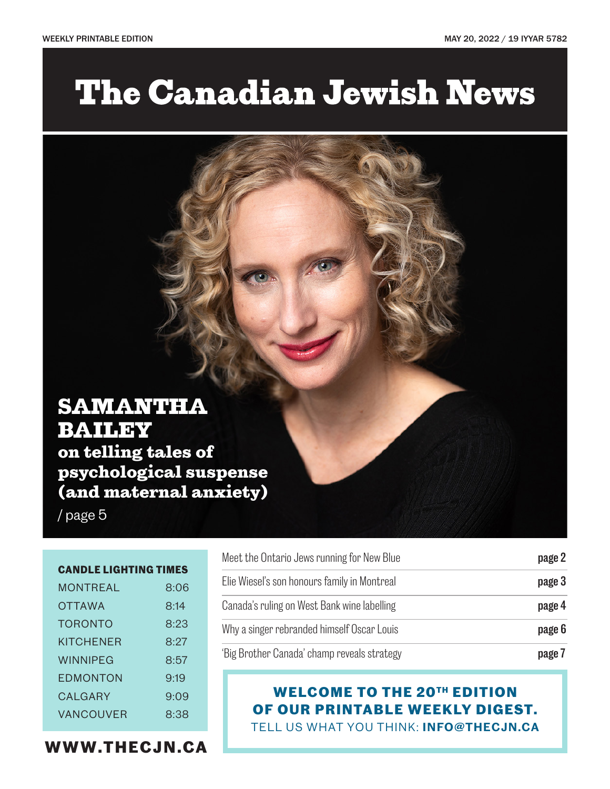# **The Canadian Jewish News**

# SAMANTHA BAILEY

on telling tales of psychological suspense (and maternal anxiety)

/ page 5

#### **CANDLE LIGHTING TIMES**

| MONTREAL       | 8.06 |
|----------------|------|
| <b>OTTAWA</b>  | 8:14 |
| <b>TORONTO</b> | 8:23 |
| KITCHENER      | 8.27 |
| WINNIPFG       | 8:57 |
| FDMONTON       | 9:19 |
| CALGARY        | 9:09 |
| VANCOUVER      | 8.38 |
|                |      |

**WWW.THECJN.CA**

| Meet the Ontario Jews running for New Blue   | page 2 |
|----------------------------------------------|--------|
| Elie Wiesel's son honours family in Montreal | page 3 |
| Canada's ruling on West Bank wine labelling  | page 4 |
| Why a singer rebranded himself Oscar Louis   | page 6 |
| 'Big Brother Canada' champ reveals strategy  | page 7 |

### **WELCOME TO THE 20TH EDITION OF OUR PRINTABLE WEEKLY DIGEST.**  TELL US WHAT YOU THINK: **INFO@THECJN.CA**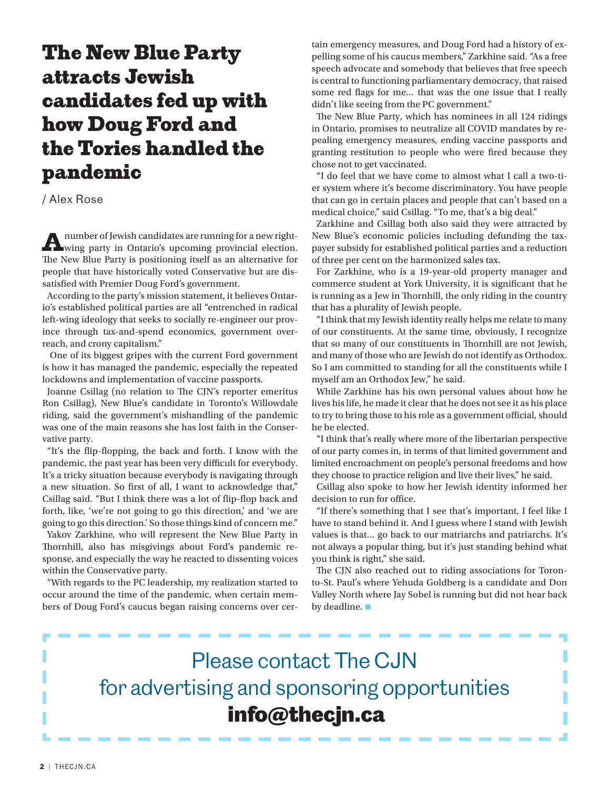### The New Blue Party attracts Jewish candidates fed up with how Doug Ford and the Tories handled the pandemic

### / Alex Rose

Anumber of Jewish candidates are running for a new right-wing party in Ontario's upcoming provincial election. The New Blue Party is positioning itself as an alternative for people that have historically voted Conservative but are dissatisfied with Premier Doug Ford's government.

According to the party's mission statement, it believes Ontario's established political parties are all "entrenched in radical left-wing ideology that seeks to socially re-engineer our province through tax-and-spend economics, government overreach, and crony capitalism."

 One of its biggest gripes with the current Ford government is how it has managed the pandemic, especially the repeated lockdowns and implementation of vaccine passports.

Joanne Csillag (no relation to The CJN's reporter emeritus Ron Csillag), New Blue's candidate in Toronto's Willowdale riding, said the government's mishandling of the pandemic was one of the main reasons she has lost faith in the Conservative party.

"It's the flip-flopping, the back and forth. I know with the pandemic, the past year has been very difficult for everybody. It's a tricky situation because everybody is navigating through a new situation. So first of all, I want to acknowledge that," Csillag said. "But I think there was a lot of flip-flop back and forth, like, 'we're not going to go this direction,' and 'we are going to go this direction.' So those things kind of concern me."

Yakov Zarkhine, who will represent the New Blue Party in Thornhill, also has misgivings about Ford's pandemic response, and especially the way he reacted to dissenting voices within the Conservative party.

"With regards to the PC leadership, my realization started to occur around the time of the pandemic, when certain members of Doug Ford's caucus began raising concerns over certain emergency measures, and Doug Ford had a history of expelling some of his caucus members," Zarkhine said. "As a free speech advocate and somebody that believes that free speech is central to functioning parliamentary democracy, that raised some red flags for me… that was the one issue that I really didn't like seeing from the PC government."

The New Blue Party, which has nominees in all 124 ridings in Ontario, promises to neutralize all COVID mandates by repealing emergency measures, ending vaccine passports and granting restitution to people who were fired because they chose not to get vaccinated.

"I do feel that we have come to almost what I call a two-tier system where it's become discriminatory. You have people that can go in certain places and people that can't based on a medical choice," said Csillag. "To me, that's a big deal."

Zarkhine and Csillag both also said they were attracted by New Blue's economic policies including defunding the taxpayer subsidy for established political parties and a reduction of three per cent on the harmonized sales tax.

For Zarkhine, who is a 19-year-old property manager and commerce student at York University, it is significant that he is running as a Jew in Thornhill, the only riding in the country that has a plurality of Jewish people.

"I think that my Jewish identity really helps me relate to many of our constituents. At the same time, obviously, I recognize that so many of our constituents in Thornhill are not Jewish, and many of those who are Jewish do not identify as Orthodox. So I am committed to standing for all the constituents while I myself am an Orthodox Jew," he said.

While Zarkhine has his own personal values about how he lives his life, he made it clear that he does not see it as his place to try to bring those to his role as a government official, should he be elected.

"I think that's really where more of the libertarian perspective of our party comes in, in terms of that limited government and limited encroachment on people's personal freedoms and how they choose to practice religion and live their lives," he said.

Csillag also spoke to how her Jewish identity informed her decision to run for office.

"If there's something that I see that's important, I feel like I have to stand behind it. And I guess where I stand with Jewish values is that… go back to our matriarchs and patriarchs. It's not always a popular thing, but it's just standing behind what you think is right," she said.

The CJN also reached out to riding associations for Toronto-St. Paul's where Yehuda Goldberg is a candidate and Don Valley North where Jay Sobel is running but did not hear back by deadline.  $\blacksquare$ 

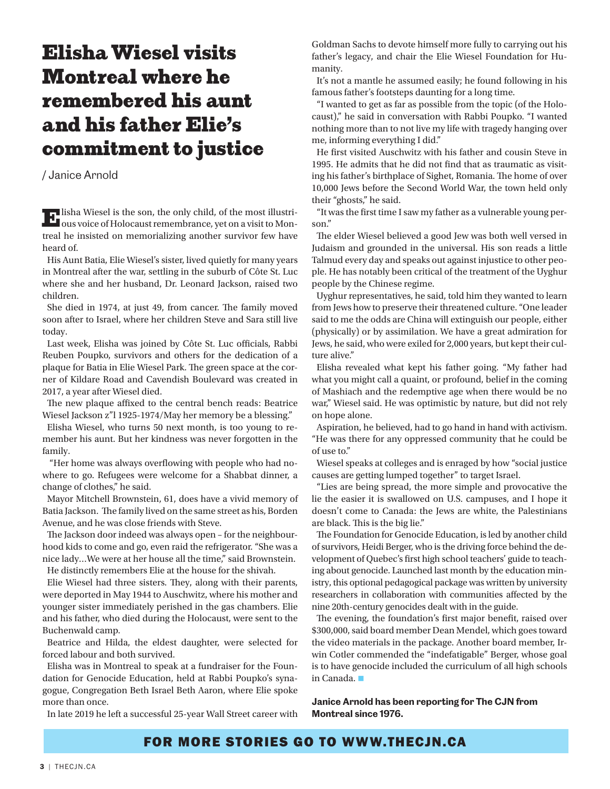### Elisha Wiesel visits Montreal where he remembered his aunt and his father Elie's commitment to justice

/ Janice Arnold

Elisha Wiesel is the son, the only child, of the most illustri-ous voice of Holocaust remembrance, yet on a visit to Montreal he insisted on memorializing another survivor few have heard of.

His Aunt Batia, Elie Wiesel's sister, lived quietly for many years in Montreal after the war, settling in the suburb of Côte St. Luc where she and her husband, Dr. Leonard Jackson, raised two children.

She died in 1974, at just 49, from cancer. The family moved soon after to Israel, where her children Steve and Sara still live today.

Last week, Elisha was joined by Côte St. Luc officials, Rabbi Reuben Poupko, survivors and others for the dedication of a plaque for Batia in Elie Wiesel Park. The green space at the corner of Kildare Road and Cavendish Boulevard was created in 2017, a year after Wiesel died.

The new plaque affixed to the central bench reads: Beatrice Wiesel Jackson z"l 1925-1974/May her memory be a blessing."

Elisha Wiesel, who turns 50 next month, is too young to remember his aunt. But her kindness was never forgotten in the family.

 "Her home was always overflowing with people who had nowhere to go. Refugees were welcome for a Shabbat dinner, a change of clothes," he said.

Mayor Mitchell Brownstein, 61, does have a vivid memory of Batia Jackson. The family lived on the same street as his, Borden Avenue, and he was close friends with Steve.

The Jackson door indeed was always open – for the neighbourhood kids to come and go, even raid the refrigerator. "She was a nice lady…We were at her house all the time," said Brownstein. He distinctly remembers Elie at the house for the shivah.

Elie Wiesel had three sisters. They, along with their parents, were deported in May 1944 to Auschwitz, where his mother and younger sister immediately perished in the gas chambers. Elie and his father, who died during the Holocaust, were sent to the Buchenwald camp.

Beatrice and Hilda, the eldest daughter, were selected for forced labour and both survived.

Elisha was in Montreal to speak at a fundraiser for the Foundation for Genocide Education, held at Rabbi Poupko's synagogue, Congregation Beth Israel Beth Aaron, where Elie spoke more than once.

In late 2019 he left a successful 25-year Wall Street career with

Goldman Sachs to devote himself more fully to carrying out his father's legacy, and chair the Elie Wiesel Foundation for Humanity.

It's not a mantle he assumed easily; he found following in his famous father's footsteps daunting for a long time.

"I wanted to get as far as possible from the topic (of the Holocaust)," he said in conversation with Rabbi Poupko. "I wanted nothing more than to not live my life with tragedy hanging over me, informing everything I did."

He first visited Auschwitz with his father and cousin Steve in 1995. He admits that he did not find that as traumatic as visiting his father's birthplace of Sighet, Romania. The home of over 10,000 Jews before the Second World War, the town held only their "ghosts," he said.

"It was the first time I saw my father as a vulnerable young person."

The elder Wiesel believed a good Jew was both well versed in Judaism and grounded in the universal. His son reads a little Talmud every day and speaks out against injustice to other people. He has notably been critical of the treatment of the Uyghur people by the Chinese regime.

Uyghur representatives, he said, told him they wanted to learn from Jews how to preserve their threatened culture. "One leader said to me the odds are China will extinguish our people, either (physically) or by assimilation. We have a great admiration for Jews, he said, who were exiled for 2,000 years, but kept their culture alive."

Elisha revealed what kept his father going. "My father had what you might call a quaint, or profound, belief in the coming of Mashiach and the redemptive age when there would be no war," Wiesel said. He was optimistic by nature, but did not rely on hope alone.

Aspiration, he believed, had to go hand in hand with activism. "He was there for any oppressed community that he could be of use to."

Wiesel speaks at colleges and is enraged by how "social justice causes are getting lumped together" to target Israel.

"Lies are being spread, the more simple and provocative the lie the easier it is swallowed on U.S. campuses, and I hope it doesn't come to Canada: the Jews are white, the Palestinians are black. This is the big lie."

The Foundation for Genocide Education, is led by another child of survivors, Heidi Berger, who is the driving force behind the development of Quebec's first high school teachers' guide to teaching about genocide. Launched last month by the education ministry, this optional pedagogical package was written by university researchers in collaboration with communities affected by the nine 20th-century genocides dealt with in the guide.

The evening, the foundation's first major benefit, raised over \$300,000, said board member Dean Mendel, which goes toward the video materials in the package. Another board member, Irwin Cotler commended the "indefatigable" Berger, whose goal is to have genocide included the curriculum of all high schools in Canada.

**Janice Arnold has been reporting for The CJN from Montreal since 1976.**

### FOR MORE STORIES GO TO WWW.THECJN.CA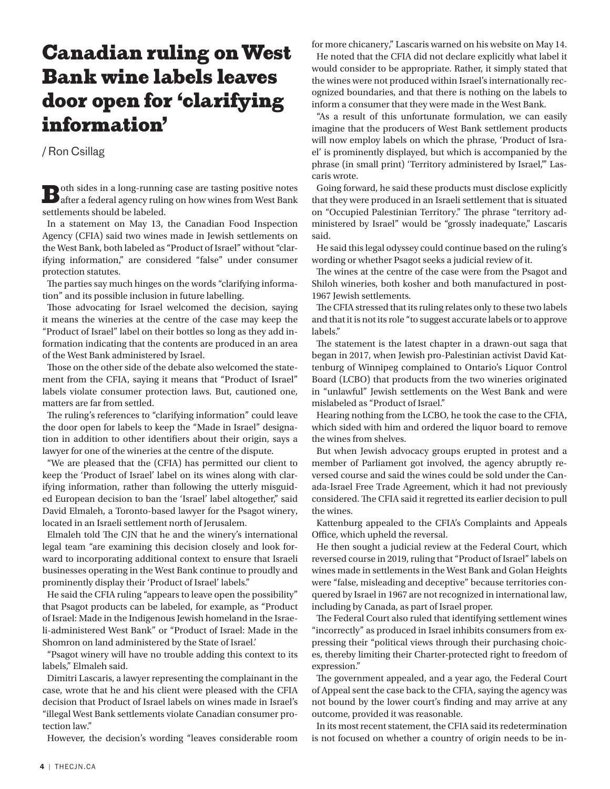### Canadian ruling on West Bank wine labels leaves door open for 'clarifying information'

/ Ron Csillag

Both sides in a long-running case are tasting positive notes after a federal agency ruling on how wines from West Bank settlements should be labeled.

In a statement on May 13, the Canadian Food Inspection Agency (CFIA) said two wines made in Jewish settlements on the West Bank, both labeled as "Product of Israel" without "clarifying information," are considered "false" under consumer protection statutes.

The parties say much hinges on the words "clarifying information" and its possible inclusion in future labelling.

Those advocating for Israel welcomed the decision, saying it means the wineries at the centre of the case may keep the "Product of Israel" label on their bottles so long as they add information indicating that the contents are produced in an area of the West Bank administered by Israel.

Those on the other side of the debate also welcomed the statement from the CFIA, saying it means that "Product of Israel" labels violate consumer protection laws. But, cautioned one, matters are far from settled.

The ruling's references to "clarifying information" could leave the door open for labels to keep the "Made in Israel" designation in addition to other identifiers about their origin, says a lawyer for one of the wineries at the centre of the dispute.

"We are pleased that the (CFIA) has permitted our client to keep the 'Product of Israel' label on its wines along with clarifying information, rather than following the utterly misguided European decision to ban the 'Israel' label altogether," said David Elmaleh, a Toronto-based lawyer for the Psagot winery, located in an Israeli settlement north of Jerusalem.

Elmaleh told The CJN that he and the winery's international legal team "are examining this decision closely and look forward to incorporating additional context to ensure that Israeli businesses operating in the West Bank continue to proudly and prominently display their 'Product of Israel' labels."

He said the CFIA ruling "appears to leave open the possibility" that Psagot products can be labeled, for example, as "Product of Israel: Made in the Indigenous Jewish homeland in the Israeli-administered West Bank" or "Product of Israel: Made in the Shomron on land administered by the State of Israel.'

"Psagot winery will have no trouble adding this context to its labels," Elmaleh said.

Dimitri Lascaris, a lawyer representing the complainant in the case, wrote that he and his client were pleased with the CFIA decision that Product of Israel labels on wines made in Israel's "illegal West Bank settlements violate Canadian consumer protection law."

However, the decision's wording "leaves considerable room

for more chicanery," Lascaris warned on his website on May 14. He noted that the CFIA did not declare explicitly what label it would consider to be appropriate. Rather, it simply stated that the wines were not produced within Israel's internationally recognized boundaries, and that there is nothing on the labels to inform a consumer that they were made in the West Bank.

"As a result of this unfortunate formulation, we can easily imagine that the producers of West Bank settlement products will now employ labels on which the phrase, 'Product of Israel' is prominently displayed, but which is accompanied by the phrase (in small print) 'Territory administered by Israel,'" Lascaris wrote.

Going forward, he said these products must disclose explicitly that they were produced in an Israeli settlement that is situated on "Occupied Palestinian Territory." The phrase "territory administered by Israel" would be "grossly inadequate," Lascaris said.

He said this legal odyssey could continue based on the ruling's wording or whether Psagot seeks a judicial review of it.

The wines at the centre of the case were from the Psagot and Shiloh wineries, both kosher and both manufactured in post-1967 Jewish settlements.

The CFIA stressed that its ruling relates only to these two labels and that it is not its role "to suggest accurate labels or to approve labels."

The statement is the latest chapter in a drawn-out saga that began in 2017, when Jewish pro-Palestinian activist David Kattenburg of Winnipeg complained to Ontario's Liquor Control Board (LCBO) that products from the two wineries originated in "unlawful" Jewish settlements on the West Bank and were mislabeled as "Product of Israel."

Hearing nothing from the LCBO, he took the case to the CFIA, which sided with him and ordered the liquor board to remove the wines from shelves.

But when Jewish advocacy groups erupted in protest and a member of Parliament got involved, the agency abruptly reversed course and said the wines could be sold under the Canada-Israel Free Trade Agreement, which it had not previously considered. The CFIA said it regretted its earlier decision to pull the wines.

Kattenburg appealed to the CFIA's Complaints and Appeals Office, which upheld the reversal.

He then sought a judicial review at the Federal Court, which reversed course in 2019, ruling that "Product of Israel" labels on wines made in settlements in the West Bank and Golan Heights were "false, misleading and deceptive" because territories conquered by Israel in 1967 are not recognized in international law, including by Canada, as part of Israel proper.

The Federal Court also ruled that identifying settlement wines "incorrectly" as produced in Israel inhibits consumers from expressing their "political views through their purchasing choices, thereby limiting their Charter-protected right to freedom of expression."

The government appealed, and a year ago, the Federal Court of Appeal sent the case back to the CFIA, saying the agency was not bound by the lower court's finding and may arrive at any outcome, provided it was reasonable.

In its most recent statement, the CFIA said its redetermination is not focused on whether a country of origin needs to be in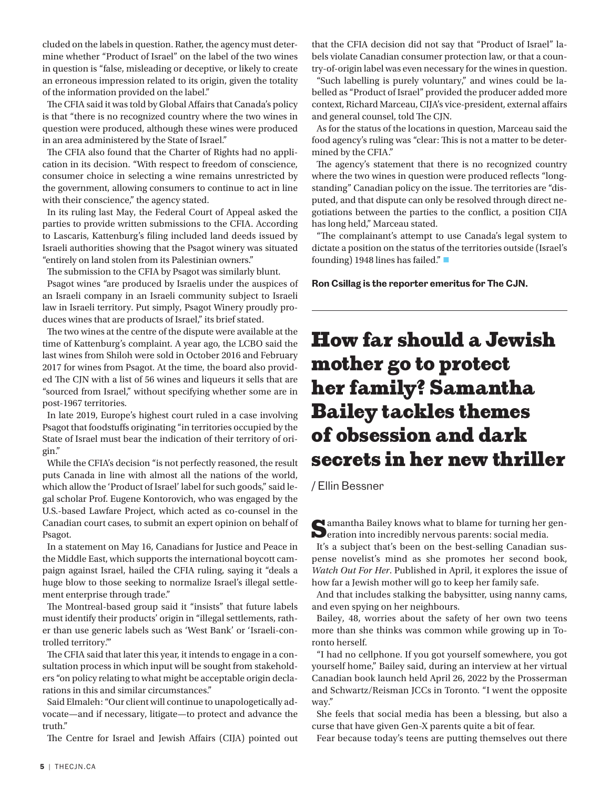cluded on the labels in question. Rather, the agency must determine whether "Product of Israel" on the label of the two wines in question is "false, misleading or deceptive, or likely to create an erroneous impression related to its origin, given the totality of the information provided on the label."

The CFIA said it was told by Global Affairs that Canada's policy is that "there is no recognized country where the two wines in question were produced, although these wines were produced in an area administered by the State of Israel."

The CFIA also found that the Charter of Rights had no application in its decision. "With respect to freedom of conscience, consumer choice in selecting a wine remains unrestricted by the government, allowing consumers to continue to act in line with their conscience," the agency stated.

In its ruling last May, the Federal Court of Appeal asked the parties to provide written submissions to the CFIA. According to Lascaris, Kattenburg's filing included land deeds issued by Israeli authorities showing that the Psagot winery was situated "entirely on land stolen from its Palestinian owners."

The submission to the CFIA by Psagot was similarly blunt.

Psagot wines "are produced by Israelis under the auspices of an Israeli company in an Israeli community subject to Israeli law in Israeli territory. Put simply, Psagot Winery proudly produces wines that are products of Israel," its brief stated.

The two wines at the centre of the dispute were available at the time of Kattenburg's complaint. A year ago, the LCBO said the last wines from Shiloh were sold in October 2016 and February 2017 for wines from Psagot. At the time, the board also provided The CJN with a list of 56 wines and liqueurs it sells that are "sourced from Israel," without specifying whether some are in post-1967 territories.

In late 2019, Europe's highest court ruled in a case involving Psagot that foodstuffs originating "in territories occupied by the State of Israel must bear the indication of their territory of origin."

While the CFIA's decision "is not perfectly reasoned, the result puts Canada in line with almost all the nations of the world, which allow the 'Product of Israel' label for such goods," said legal scholar Prof. Eugene Kontorovich, who was engaged by the U.S.-based Lawfare Project, which acted as co-counsel in the Canadian court cases, to submit an expert opinion on behalf of Psagot.

In a statement on May 16, Canadians for Justice and Peace in the Middle East, which supports the international boycott campaign against Israel, hailed the CFIA ruling, saying it "deals a huge blow to those seeking to normalize Israel's illegal settlement enterprise through trade."

The Montreal-based group said it "insists" that future labels must identify their products' origin in "illegal settlements, rather than use generic labels such as 'West Bank' or 'Israeli-controlled territory.'"

The CFIA said that later this year, it intends to engage in a consultation process in which input will be sought from stakeholders "on policy relating to what might be acceptable origin declarations in this and similar circumstances."

Said Elmaleh: "Our client will continue to unapologetically advocate—and if necessary, litigate—to protect and advance the truth."

The Centre for Israel and Jewish Affairs (CIJA) pointed out

that the CFIA decision did not say that "Product of Israel" labels violate Canadian consumer protection law, or that a country-of-origin label was even necessary for the wines in question.

"Such labelling is purely voluntary," and wines could be labelled as "Product of Israel" provided the producer added more context, Richard Marceau, CIJA's vice-president, external affairs and general counsel, told The CJN.

As for the status of the locations in question, Marceau said the food agency's ruling was "clear: This is not a matter to be determined by the CFIA."

The agency's statement that there is no recognized country where the two wines in question were produced reflects "longstanding" Canadian policy on the issue. The territories are "disputed, and that dispute can only be resolved through direct negotiations between the parties to the conflict, a position CIJA has long held," Marceau stated.

"The complainant's attempt to use Canada's legal system to dictate a position on the status of the territories outside (Israel's founding) 1948 lines has failed."

**Ron Csillag is the reporter emeritus for The CJN.**

# How far should a Jewish mother go to protect her family? Samantha Bailey tackles themes of obsession and dark secrets in her new thriller

/ Ellin Bessner

Samantha Bailey knows what to blame for turning her gen-eration into incredibly nervous parents: social media.

It's a subject that's been on the best-selling Canadian suspense novelist's mind as she promotes her second book, *Watch Out For Her*. Published in April, it explores the issue of how far a Jewish mother will go to keep her family safe.

And that includes stalking the babysitter, using nanny cams, and even spying on her neighbours.

Bailey, 48, worries about the safety of her own two teens more than she thinks was common while growing up in Toronto herself.

"I had no cellphone. If you got yourself somewhere, you got yourself home," Bailey said, during an interview at her virtual Canadian book launch held April 26, 2022 by the Prosserman and Schwartz/Reisman JCCs in Toronto. "I went the opposite way."

She feels that social media has been a blessing, but also a curse that have given Gen-X parents quite a bit of fear.

Fear because today's teens are putting themselves out there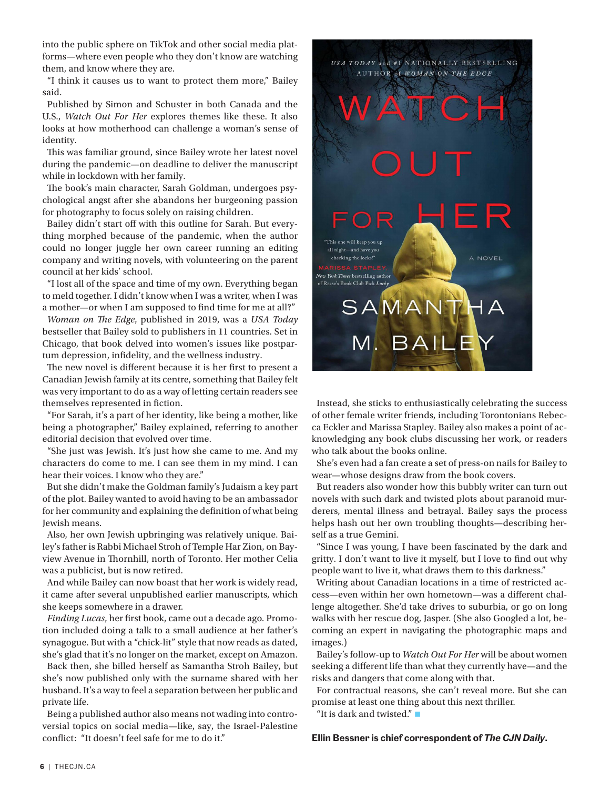into the public sphere on TikTok and other social media platforms—where even people who they don't know are watching them, and know where they are.

"I think it causes us to want to protect them more," Bailey said.

Published by Simon and Schuster in both Canada and the U.S., *Watch Out For Her* explores themes like these. It also looks at how motherhood can challenge a woman's sense of identity.

This was familiar ground, since Bailey wrote her latest novel during the pandemic—on deadline to deliver the manuscript while in lockdown with her family.

The book's main character, Sarah Goldman, undergoes psychological angst after she abandons her burgeoning passion for photography to focus solely on raising children.

Bailey didn't start off with this outline for Sarah. But everything morphed because of the pandemic, when the author could no longer juggle her own career running an editing company and writing novels, with volunteering on the parent council at her kids' school.

"I lost all of the space and time of my own. Everything began to meld together. I didn't know when I was a writer, when I was a mother—or when I am supposed to find time for me at all?"

*Woman on The Edge*, published in 2019, was a *USA Today* bestseller that Bailey sold to publishers in 11 countries. Set in Chicago, that book delved into women's issues like postpartum depression, infidelity, and the wellness industry.

The new novel is different because it is her first to present a Canadian Jewish family at its centre, something that Bailey felt was very important to do as a way of letting certain readers see themselves represented in fiction.

"For Sarah, it's a part of her identity, like being a mother, like being a photographer," Bailey explained, referring to another editorial decision that evolved over time.

"She just was Jewish. It's just how she came to me. And my characters do come to me. I can see them in my mind. I can hear their voices. I know who they are."

But she didn't make the Goldman family's Judaism a key part of the plot. Bailey wanted to avoid having to be an ambassador for her community and explaining the definition of what being Jewish means.

Also, her own Jewish upbringing was relatively unique. Bailey's father is Rabbi Michael Stroh of Temple Har Zion, on Bayview Avenue in Thornhill, north of Toronto. Her mother Celia was a publicist, but is now retired.

And while Bailey can now boast that her work is widely read, it came after several unpublished earlier manuscripts, which she keeps somewhere in a drawer.

*Finding Lucas*, her first book, came out a decade ago. Promotion included doing a talk to a small audience at her father's synagogue. But with a "chick-lit" style that now reads as dated, she's glad that it's no longer on the market, except on Amazon.

Back then, she billed herself as Samantha Stroh Bailey, but she's now published only with the surname shared with her husband. It's a way to feel a separation between her public and private life.

Being a published author also means not wading into controversial topics on social media—like, say, the Israel-Palestine conflict: "It doesn't feel safe for me to do it."



Instead, she sticks to enthusiastically celebrating the success of other female writer friends, including Torontonians Rebecca Eckler and Marissa Stapley. Bailey also makes a point of acknowledging any book clubs discussing her work, or readers who talk about the books online.

She's even had a fan create a set of press-on nails for Bailey to wear—whose designs draw from the book covers.

But readers also wonder how this bubbly writer can turn out novels with such dark and twisted plots about paranoid murderers, mental illness and betrayal. Bailey says the process helps hash out her own troubling thoughts—describing herself as a true Gemini.

"Since I was young, I have been fascinated by the dark and gritty. I don't want to live it myself, but I love to find out why people want to live it, what draws them to this darkness."

Writing about Canadian locations in a time of restricted access—even within her own hometown—was a different challenge altogether. She'd take drives to suburbia, or go on long walks with her rescue dog, Jasper. (She also Googled a lot, becoming an expert in navigating the photographic maps and images.)

Bailey's follow-up to *Watch Out For Her* will be about women seeking a different life than what they currently have—and the risks and dangers that come along with that.

For contractual reasons, she can't reveal more. But she can promise at least one thing about this next thriller.

"It is dark and twisted."

#### **Ellin Bessner is chief correspondent of** *The CJN Daily***.**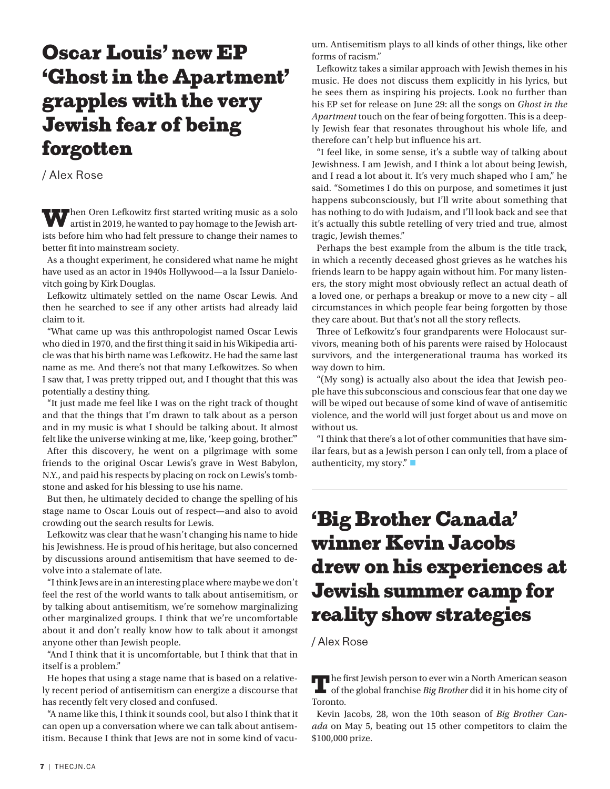### Oscar Louis' new EP 'Ghost in the Apartment' grapples with the very Jewish fear of being forgotten

/ Alex Rose

When Oren Lefkowitz first started writing music as a solo artist in 2019, he wanted to pay homage to the Jewish artists before him who had felt pressure to change their names to better fit into mainstream society.

As a thought experiment, he considered what name he might have used as an actor in 1940s Hollywood—a la Issur Danielovitch going by Kirk Douglas.

Lefkowitz ultimately settled on the name Oscar Lewis. And then he searched to see if any other artists had already laid claim to it.

"What came up was this anthropologist named Oscar Lewis who died in 1970, and the first thing it said in his Wikipedia article was that his birth name was Lefkowitz. He had the same last name as me. And there's not that many Lefkowitzes. So when I saw that, I was pretty tripped out, and I thought that this was potentially a destiny thing.

"It just made me feel like I was on the right track of thought and that the things that I'm drawn to talk about as a person and in my music is what I should be talking about. It almost felt like the universe winking at me, like, 'keep going, brother.'"

After this discovery, he went on a pilgrimage with some friends to the original Oscar Lewis's grave in West Babylon, N.Y., and paid his respects by placing on rock on Lewis's tombstone and asked for his blessing to use his name.

But then, he ultimately decided to change the spelling of his stage name to Oscar Louis out of respect—and also to avoid crowding out the search results for Lewis.

Lefkowitz was clear that he wasn't changing his name to hide his Jewishness. He is proud of his heritage, but also concerned by discussions around antisemitism that have seemed to devolve into a stalemate of late.

"I think Jews are in an interesting place where maybe we don't feel the rest of the world wants to talk about antisemitism, or by talking about antisemitism, we're somehow marginalizing other marginalized groups. I think that we're uncomfortable about it and don't really know how to talk about it amongst anyone other than Jewish people.

"And I think that it is uncomfortable, but I think that that in itself is a problem."

He hopes that using a stage name that is based on a relatively recent period of antisemitism can energize a discourse that has recently felt very closed and confused.

"A name like this, I think it sounds cool, but also I think that it can open up a conversation where we can talk about antisemitism. Because I think that Jews are not in some kind of vacuum. Antisemitism plays to all kinds of other things, like other forms of racism."

Lefkowitz takes a similar approach with Jewish themes in his music. He does not discuss them explicitly in his lyrics, but he sees them as inspiring his projects. Look no further than his EP set for release on June 29: all the songs on *Ghost in the Apartment* touch on the fear of being forgotten. This is a deeply Jewish fear that resonates throughout his whole life, and therefore can't help but influence his art.

"I feel like, in some sense, it's a subtle way of talking about Jewishness. I am Jewish, and I think a lot about being Jewish, and I read a lot about it. It's very much shaped who I am," he said. "Sometimes I do this on purpose, and sometimes it just happens subconsciously, but I'll write about something that has nothing to do with Judaism, and I'll look back and see that it's actually this subtle retelling of very tried and true, almost tragic, Jewish themes."

Perhaps the best example from the album is the title track, in which a recently deceased ghost grieves as he watches his friends learn to be happy again without him. For many listeners, the story might most obviously reflect an actual death of a loved one, or perhaps a breakup or move to a new city – all circumstances in which people fear being forgotten by those they care about. But that's not all the story reflects.

Three of Lefkowitz's four grandparents were Holocaust survivors, meaning both of his parents were raised by Holocaust survivors, and the intergenerational trauma has worked its way down to him.

"(My song) is actually also about the idea that Jewish people have this subconscious and conscious fear that one day we will be wiped out because of some kind of wave of antisemitic violence, and the world will just forget about us and move on without us.

"I think that there's a lot of other communities that have similar fears, but as a Jewish person I can only tell, from a place of authenticity, my story." $\blacksquare$ 

# 'Big Brother Canada' winner Kevin Jacobs drew on his experiences at Jewish summer camp for reality show strategies

/ Alex Rose

The first Jewish person to ever win a North American season of the global franchise *Big Brother* did it in his home city of Toronto.

Kevin Jacobs, 28, won the 10th season of *Big Brother Canada* on May 5, beating out 15 other competitors to claim the \$100,000 prize.